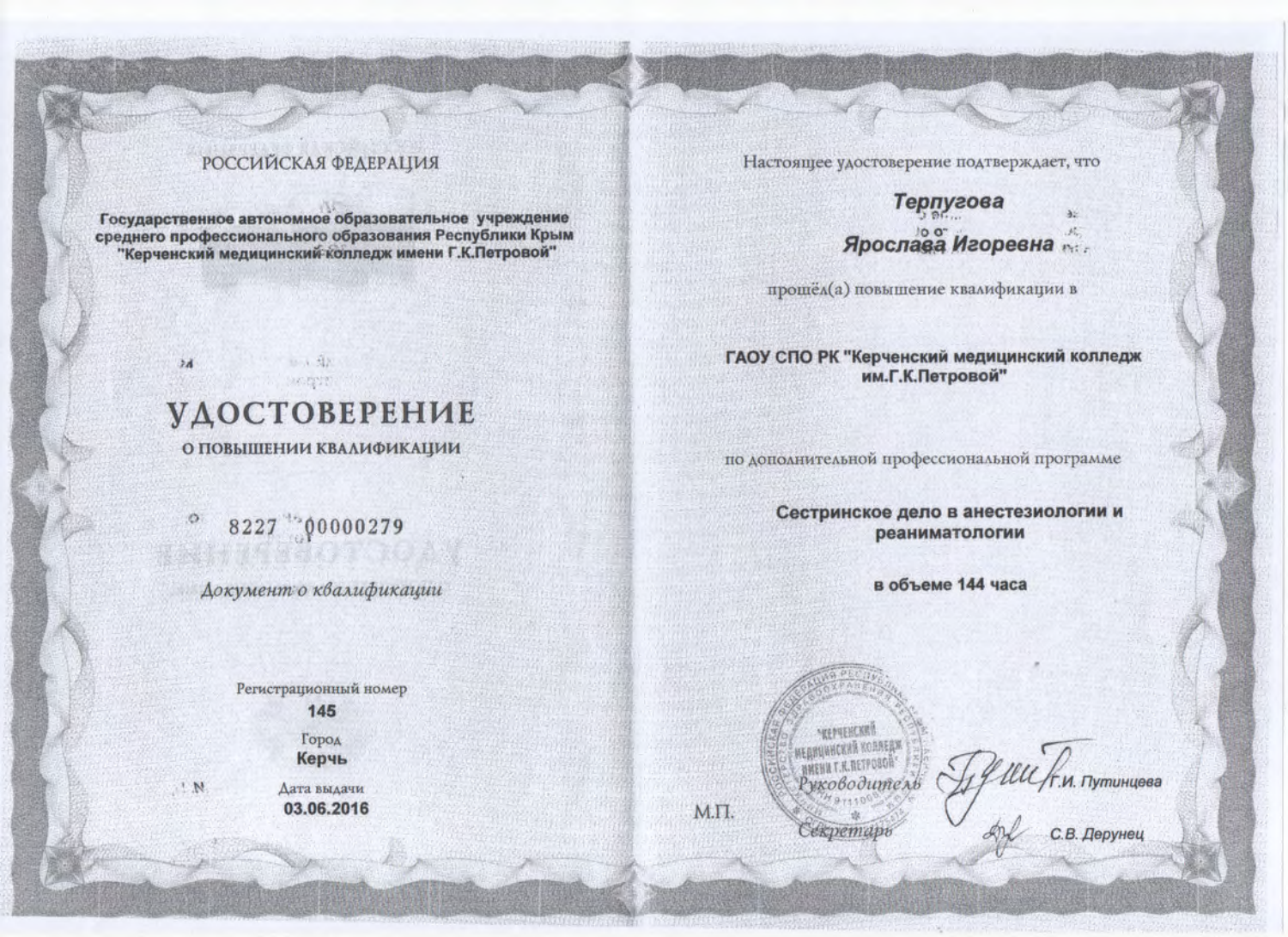### **РОССИЙСКАЯ ФЕДЕРАЦИЯ**

Государственное автономное образовательное учреждение среднего профессионального образования Республики Крым "Керченский медицинский колледж имени Г.К.Петровой"

> 不得定 **УДОСТОВЕРЕНИЕ**

13. 1 现

 $24$ 

 $^{\prime}$  N

О ПОВЫШЕНИИ КВАЛИФИКАЦИИ

8227 90000279

Документ о квалификации

Регистрационный номер 145

> Город Керчь

Дата выдачи 03.06.2016 Настоящее удостоверение подтверждает, что

## Терпугова  $32$ Ярослава Игоревна

прошёл(а) повышение квалификации в

#### ГАОУ СПО РК "Керченский медицинский колледж им.Г.К.Петровой"

по дополнительной профессиональной программе

Сестринское дело в анестезиологии и реаниматологии

в объеме 144 часа



М.П.

LUU / F. VI. Tlymunueee<br>dn A

С.В. Дерунец